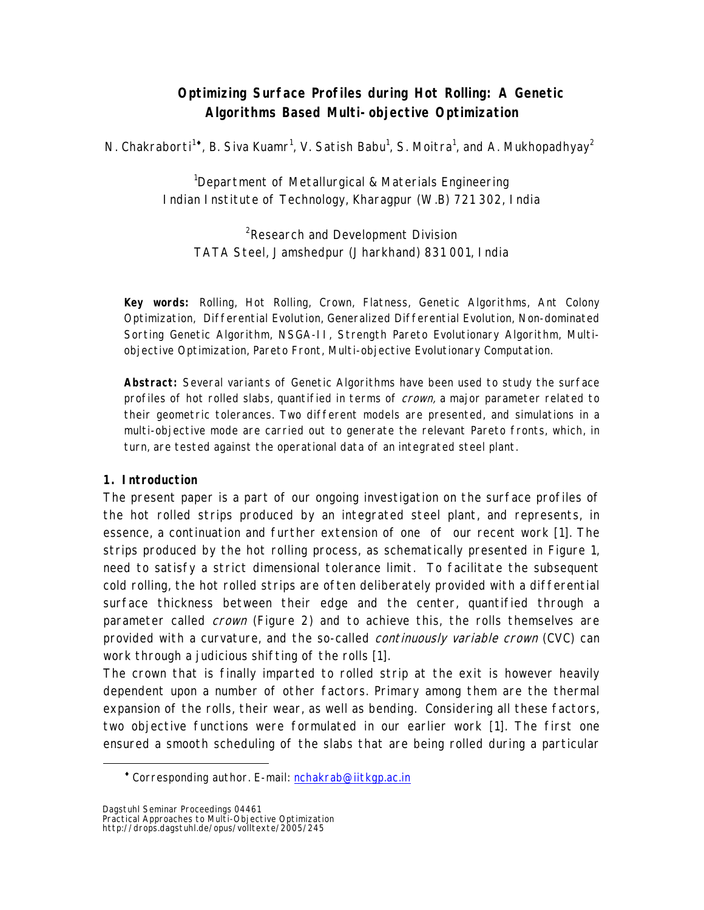# **Optimizing Surface Profiles during Hot Rolling: A Genetic Algorithms Based Multi-objective Optimization**

N. Chakraborti<sup>1</sup>[,](#page-0-0) B. Siva Kuamr<sup>1</sup>, V. Satish Babu<sup>1</sup>, S. Moitra<sup>1</sup>, and A. Mukhopadhyay<sup>2</sup>

<sup>1</sup>Department of Metallurgical & Materials Engineering Indian Institute of Technology, Kharagpur (W.B) 721 302, India

<sup>2</sup>Research and Development Division TATA Steel, Jamshedpur (Jharkhand) 831 001, India

**Key words:** Rolling, Hot Rolling, Crown, Flatness, Genetic Algorithms, Ant Colony Optimization, Differential Evolution, Generalized Differential Evolution, Non-dominated Sorting Genetic Algorithm, NSGA-II, Strength Pareto Evolutionary Algorithm, Multiobjective Optimization, Pareto Front, Multi-objective Evolutionary Computation.

**Abstract:** Several variants of Genetic Algorithms have been used to study the surface profiles of hot rolled slabs, quantified in terms of *crown*, a major parameter related to their geometric tolerances. Two different models are presented, and simulations in a multi-objective mode are carried out to generate the relevant Pareto fronts, which, in turn, are tested against the operational data of an integrated steel plant.

## **1. Introduction**

 $\overline{a}$ 

The present paper is a part of our ongoing investigation on the surface profiles of the hot rolled strips produced by an integrated steel plant, and represents, in essence, a continuation and further extension of one of our recent work [1]. The strips produced by the hot rolling process, as schematically presented in Figure 1, need to satisfy a strict dimensional tolerance limit. To facilitate the subsequent cold rolling, the hot rolled strips are often deliberately provided with a differential surface thickness between their edge and the center, quantified through a parameter called *crown* (Figure 2) and to achieve this, the rolls themselves are provided with a curvature, and the so-called *continuously variable crown* (CVC) can work through a judicious shifting of the rolls [1].

The crown that is finally imparted to rolled strip at the exit is however heavily dependent upon a number of other factors. Primary among them are the thermal expansion of the rolls, their wear, as well as bending. Considering all these factors, two objective functions were formulated in our earlier work [1]. The first one ensured a smooth scheduling of the slabs that are being rolled during a particular

<span id="page-0-0"></span><sup>\*</sup> Corresponding author. E-mail: [nchakrab@iitkgp.ac.in](mailto:nchakrab@iitkgp.ac.in)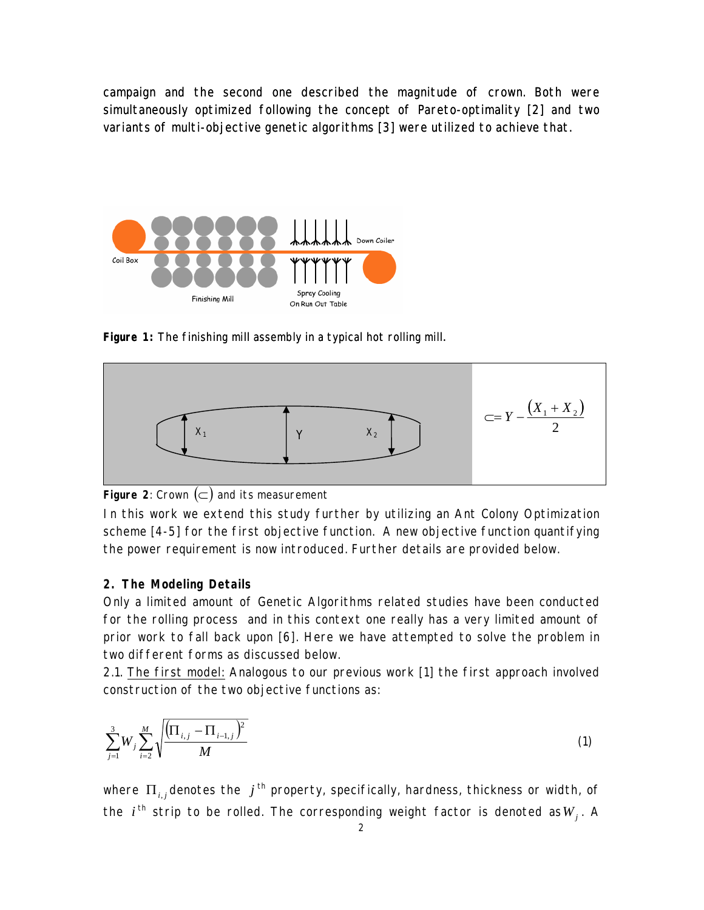campaign and the second one described the magnitude of crown. Both were simultaneously optimized following the concept of Pareto-optimality [2] and two variants of multi-objective genetic algorithms [3] were utilized to achieve that.



Figure 1: The finishing mill assembly in a typical hot rolling mill.



**Figure 2:** Crown  $(\subset)$  and its measurement

In this work we extend this study further by utilizing an Ant Colony Optimization scheme [4-5] for the first objective function. A new objective function quantifying the power requirement is now introduced. Further details are provided below.

#### **2. The Modeling Details**

Only a limited amount of Genetic Algorithms related studies have been conducted for the rolling process and in this context one really has a very limited amount of prior work to fall back upon [6]. Here we have attempted to solve the problem in two different forms as discussed below.

2.1. The first model: Analogous to our previous work [1] the first approach involved construction of the two objective functions as:

$$
\sum_{j=1}^{3} W_j \sum_{i=2}^{M} \sqrt{\frac{\left(\prod_{i,j} - \prod_{i=1,j} \right)^2}{M}}
$$
(1)

where  $\prod_{i,j}$ denotes the  $j$  <sup>th</sup> property, specifically, hardness, thickness or width, of the  $i^{\text{th}}$  strip to be rolled. The corresponding weight factor is denoted as $W_j$ . A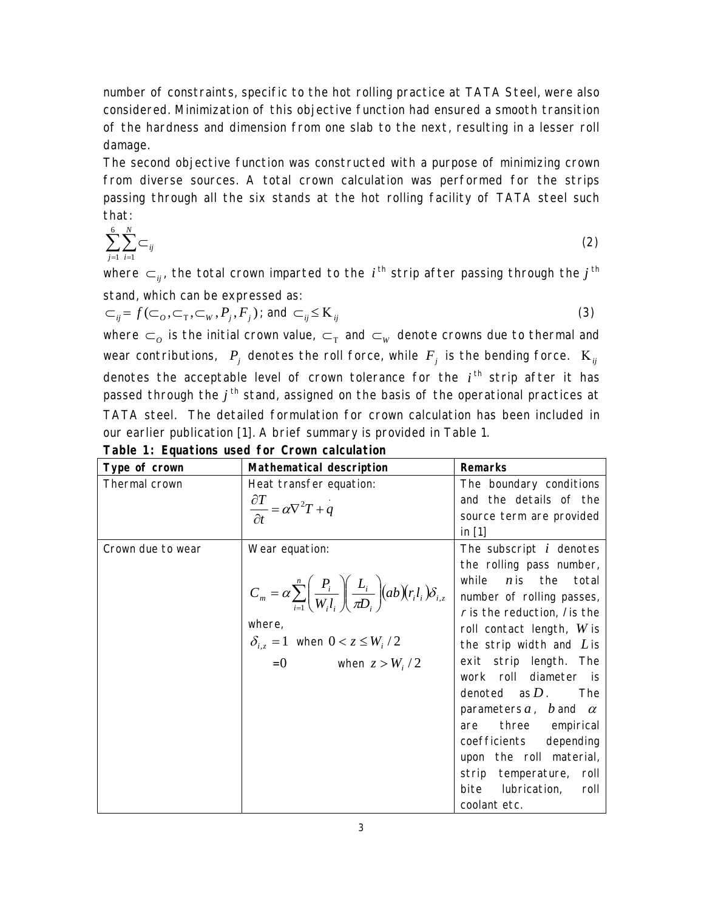number of constraints, specific to the hot rolling practice at TATA Steel, were also considered. Minimization of this objective function had ensured a smooth transition of the hardness and dimension from one slab to the next, resulting in a lesser roll damage.

The second objective function was constructed with a purpose of minimizing crown from diverse sources. A total crown calculation was performed for the strips passing through all the six stands at the hot rolling facility of TATA steel such that:

$$
\sum_{j=1}^{6} \sum_{i=1}^{N} \subset_{ij} \tag{2}
$$

where  $\subset_{ij}$ , the total crown imparted to the *i*<sup>th</sup> strip after passing through the *j*<sup>th</sup> stand, which can be expressed as:

$$
\subset_{ij} = f(\subset_{\Omega}, \subset_{\mathcal{T}}, \subset_{\mathcal{W}}, P_j, F_j); \text{ and } \subset_{ij} \leq K_{ij}
$$
\n
$$
(3)
$$

where  $\subset_o$  is the initial crown value,  $\subset_{_{\mathrm{T}}}$  and  $\subset_{_{\mathrm{W}}}$  denote crowns due to thermal and wear contributions,  $\ket{P_j}$  denotes the roll force, while  $\ket{F_j}$  is the bending force.  $\ket{\text{K}_{ij}}$ denotes the acceptable level of crown tolerance for the  $i<sup>th</sup>$  strip after it has passed through the  $j<sup>th</sup>$  stand, assigned on the basis of the operational practices at TATA steel. The detailed formulation for crown calculation has been included in our earlier publication [1]. A brief summary is provided in Table 1.

| Type of crown     | Mathematical description                                                                                                                                                                                                            | <b>Remarks</b>                                                                                                                                                                                                                                                                                                                                                                                                                                                                           |
|-------------------|-------------------------------------------------------------------------------------------------------------------------------------------------------------------------------------------------------------------------------------|------------------------------------------------------------------------------------------------------------------------------------------------------------------------------------------------------------------------------------------------------------------------------------------------------------------------------------------------------------------------------------------------------------------------------------------------------------------------------------------|
| Thermal crown     | Heat transfer equation:<br>$\frac{\partial T}{\partial t} = \alpha \nabla^2 T + q$                                                                                                                                                  | The boundary conditions<br>and the details of the<br>source term are provided<br>in $[1]$                                                                                                                                                                                                                                                                                                                                                                                                |
| Crown due to wear | Wear equation:<br>$C_m = \alpha \sum_{i=1}^n \left( \frac{P_i}{W_i l_i} \right) \left( \frac{L_i}{\pi D_i} \right) (ab) (r_i l_i) \delta_{i,z}$<br>where,<br>$\delta_{i,z} = 1$ when $0 < z \leq W_i/2$<br>$= 0$ when $z > W_i / 2$ | The subscript $i$ denotes<br>the rolling pass number,<br>$n$ is the total<br>while<br>number of rolling passes,<br>$r$ is the reduction, / is the<br>roll contact length, $W$ is<br>the strip width and $L$ is<br>exit strip length. The<br>work roll diameter is<br>denoted as $D$ .<br>The<br>parameters $a$ , $b$ and $\alpha$<br>three empirical<br>are<br>coefficients depending<br>upon the roll material,<br>strip temperature, roll<br>bite lubrication,<br>roll<br>coolant etc. |

**Table 1: Equations used for Crown calculation**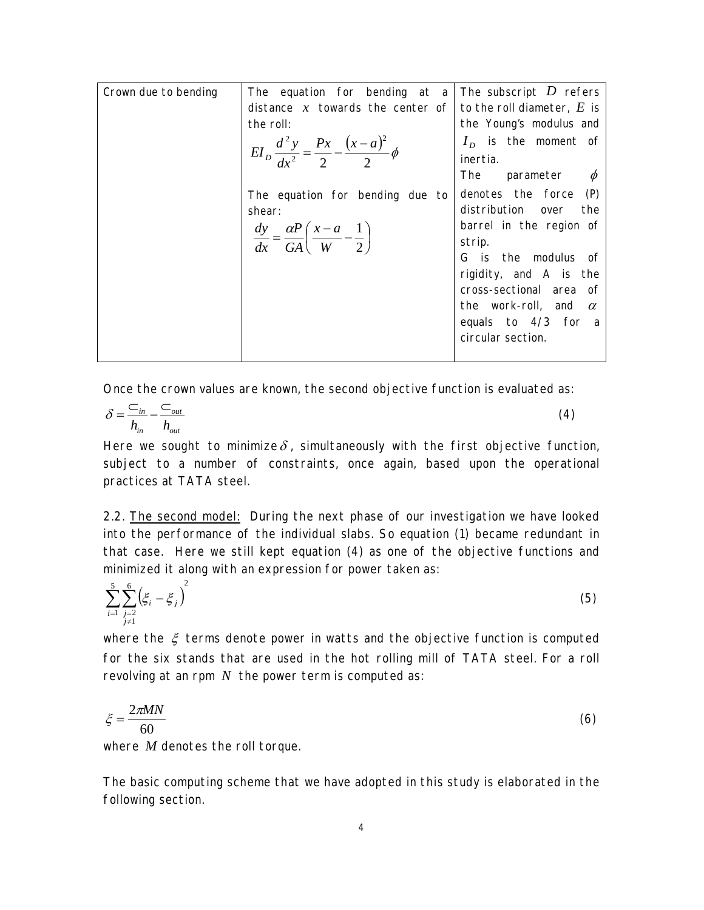| Crown due to bending | The equation for bending at a The subscript D refers                             |                             |
|----------------------|----------------------------------------------------------------------------------|-----------------------------|
|                      | distance x towards the center of to the roll diameter, E is                      |                             |
|                      | the roll:                                                                        | the Young's modulus and     |
|                      |                                                                                  | $I_n$ is the moment of      |
|                      | $EI_{D}\frac{d^{2}y}{dx^{2}} = \frac{Px}{2} - \frac{(x-a)^{2}}{2}\phi$           | inertia.                    |
|                      |                                                                                  | The parameter $\phi$        |
|                      | The equation for bending due to                                                  | denotes the force (P)       |
|                      | shear:                                                                           | distribution over the       |
|                      |                                                                                  | barrel in the region of     |
|                      | $\frac{dy}{dx} = \frac{\alpha P}{GA} \left( \frac{x-a}{W} - \frac{1}{2} \right)$ | strip.                      |
|                      |                                                                                  | G is the modulus of         |
|                      |                                                                                  | rigidity, and A is the      |
|                      |                                                                                  | cross-sectional area of     |
|                      |                                                                                  | the work-roll, and $\alpha$ |
|                      |                                                                                  | equals to 4/3 for a         |
|                      |                                                                                  | circular section.           |
|                      |                                                                                  |                             |

Once the crown values are known, the second objective function is evaluated as:

$$
\delta = \frac{C_{in}}{h_{in}} - \frac{C_{out}}{h_{out}}
$$
 (4)

Here we sought to minimize  $\delta$ , simultaneously with the first objective function, subject to a number of constraints, once again, based upon the operational practices at TATA steel.

2.2. The second model: During the next phase of our investigation we have looked into the performance of the individual slabs. So equation (1) became redundant in that case. Here we still kept equation (4) as one of the objective functions and minimized it along with an expression for power taken as:

$$
\sum_{i=1}^{5} \sum_{\substack{j=2 \ j \neq 1}}^{6} \left( \xi_i - \xi_j \right)^2 \tag{5}
$$

where the  $\xi$  terms denote power in watts and the objective function is computed for the six stands that are used in the hot rolling mill of TATA steel. For a roll revolving at an rpm *N* the power term is computed as:

$$
\xi = \frac{2\pi MN}{60} \tag{6}
$$

where *M* denotes the roll torque.

The basic computing scheme that we have adopted in this study is elaborated in the following section.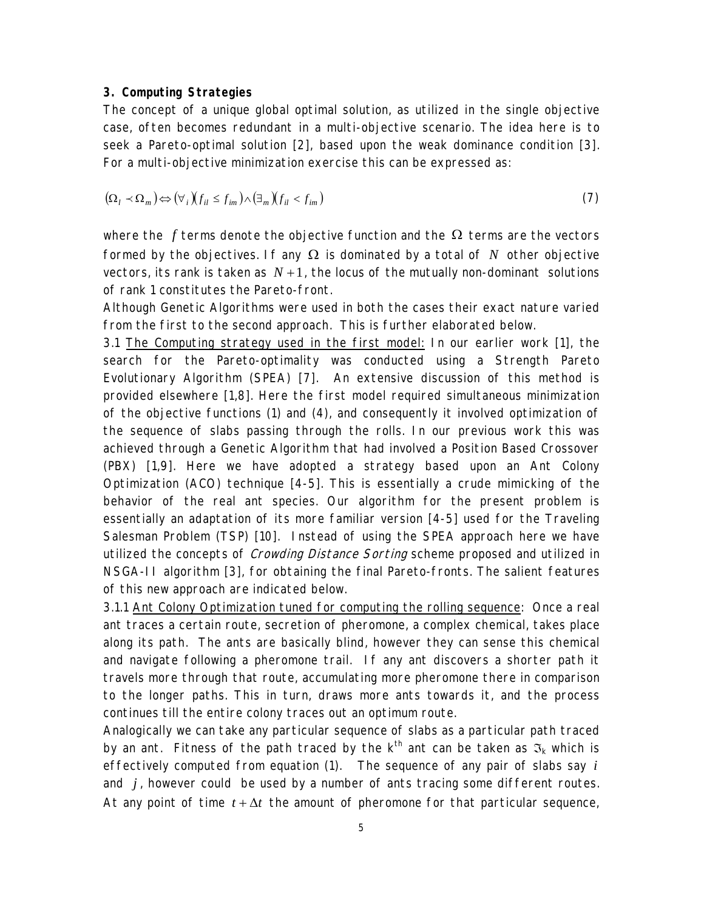#### **3. Computing Strategies**

The concept of a unique global optimal solution, as utilized in the single objective case, often becomes redundant in a multi-objective scenario. The idea here is to seek a Pareto-optimal solution [2], based upon the weak dominance condition [3]. For a multi-objective minimization exercise this can be expressed as:

$$
(\Omega_l \prec \Omega_m) \Leftrightarrow (\forall_i) (f_{il} \le f_{im}) \land (\exists_m) (f_{il} < f_{im})
$$
\n<sup>(7)</sup>

where the  $f$  terms denote the objective function and the  $\Omega$  terms are the vectors formed by the objectives. If any  $\Omega$  is dominated by a total of  $N$  other objective vectors, its rank is taken as  $N+1$ , the locus of the mutually non-dominant solutions of rank 1 constitutes the Pareto-front.

Although Genetic Algorithms were used in both the cases their exact nature varied from the first to the second approach. This is further elaborated below.

3.1 The Computing strategy used in the first model: In our earlier work [1], the search for the Pareto-optimality was conducted using a Strength Pareto Evolutionary Algorithm (SPEA) [7]. An extensive discussion of this method is provided elsewhere [1,8]. Here the first model required simultaneous minimization of the objective functions (1) and (4), and consequently it involved optimization of the sequence of slabs passing through the rolls. In our previous work this was achieved through a Genetic Algorithm that had involved a Position Based Crossover (PBX) [1,9]. Here we have adopted a strategy based upon an Ant Colony Optimization (ACO) technique [4-5]. This is essentially a crude mimicking of the behavior of the real ant species. Our algorithm for the present problem is essentially an adaptation of its more familiar version [4-5] used for the Traveling Salesman Problem (TSP) [10]. Instead of using the SPEA approach here we have utilized the concepts of *Crowding Distance Sorting* scheme proposed and utilized in NSGA-II algorithm [3], for obtaining the final Pareto-fronts. The salient features of this new approach are indicated below.

3.1.1 Ant Colony Optimization tuned for computing the rolling sequence: Once a real ant traces a certain route, secretion of pheromone, a complex chemical, takes place along its path. The ants are basically blind, however they can sense this chemical and navigate following a pheromone trail. If any ant discovers a shorter path it travels more through that route, accumulating more pheromone there in comparison to the longer paths. This in turn, draws more ants towards it, and the process continues till the entire colony traces out an optimum route.

Analogically we can take any particular sequence of slabs as a particular path traced by an ant. Fitness of the path traced by the k<sup>th</sup> ant can be taken as  $\mathfrak{I}_k$  which is effectively computed from equation (1). The sequence of any pair of slabs say *i* and *j* , however could be used by a number of ants tracing some different routes. At any point of time  $t + \Delta t$  the amount of pheromone for that particular sequence,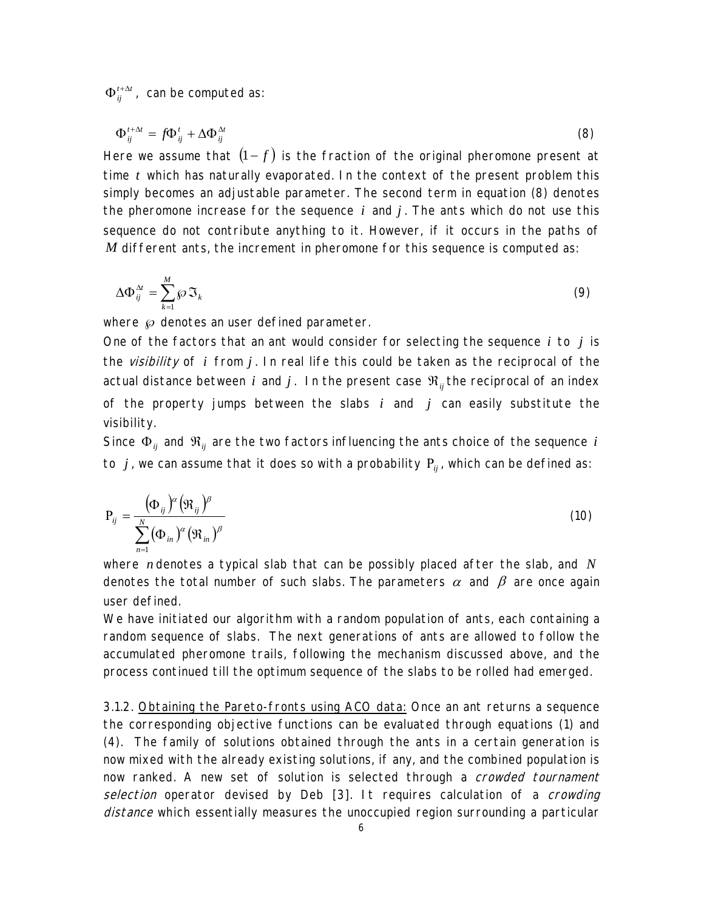$t + \Delta t$  $\Phi_{ij}^{t+\Delta t}$  , can be computed as:

$$
\Phi_{ij}^{t+\Delta t} = f \Phi_{ij}^t + \Delta \Phi_{ij}^{\Delta t} \tag{8}
$$

Here we assume that  $(1-f)$  is the fraction of the original pheromone present at time  $t$  which has naturally evaporated. In the context of the present problem this simply becomes an adjustable parameter. The second term in equation (8) denotes the pheromone increase for the sequence  $i$  and  $j$ . The ants which do not use this sequence do not contribute anything to it. However, if it occurs in the paths of *M* different ants, the increment in pheromone for this sequence is computed as:

$$
\Delta \Phi_{ij}^{\Delta t} = \sum_{k=1}^{M} \mathcal{S} \mathfrak{I}_k \tag{9}
$$

where  $\wp$  denotes an user defined parameter.

One of the factors that an ant would consider for selecting the sequence *i* to *j* is the visibility of *i* from *j* . In real life this could be taken as the reciprocal of the actual distance between *i* and *j*. In the present case  $\mathfrak{R}_{ij}$  the reciprocal of an index of the property jumps between the slabs *i* and *j* can easily substitute the visibility.

Since  $\Phi_{ij}$  and  $\Re_{ij}$  are the two factors influencing the ants choice of the sequence  $i$ to *j* , we can assume that it does so with a probability Ρ*ij* , which can be defined as:

$$
P_{ij} = \frac{(\Phi_{ij})^{\alpha} (\mathfrak{R}_{ij})^{\beta}}{\sum_{n=1}^{N} (\Phi_{in})^{\alpha} (\mathfrak{R}_{in})^{\beta}}
$$
(10)

where *n* denotes a typical slab that can be possibly placed after the slab, and N denotes the total number of such slabs. The parameters  $\alpha$  and  $\beta$  are once again user defined.

We have initiated our algorithm with a random population of ants, each containing a random sequence of slabs. The next generations of ants are allowed to follow the accumulated pheromone trails, following the mechanism discussed above, and the process continued till the optimum sequence of the slabs to be rolled had emerged.

3.1.2. Obtaining the Pareto-fronts using ACO data: Once an ant returns a sequence the corresponding objective functions can be evaluated through equations (1) and (4). The family of solutions obtained through the ants in a certain generation is now mixed with the already existing solutions, if any, and the combined population is now ranked. A new set of solution is selected through a *crowded tournament* selection operator devised by Deb [3]. It requires calculation of a crowding distance which essentially measures the unoccupied region surrounding a particular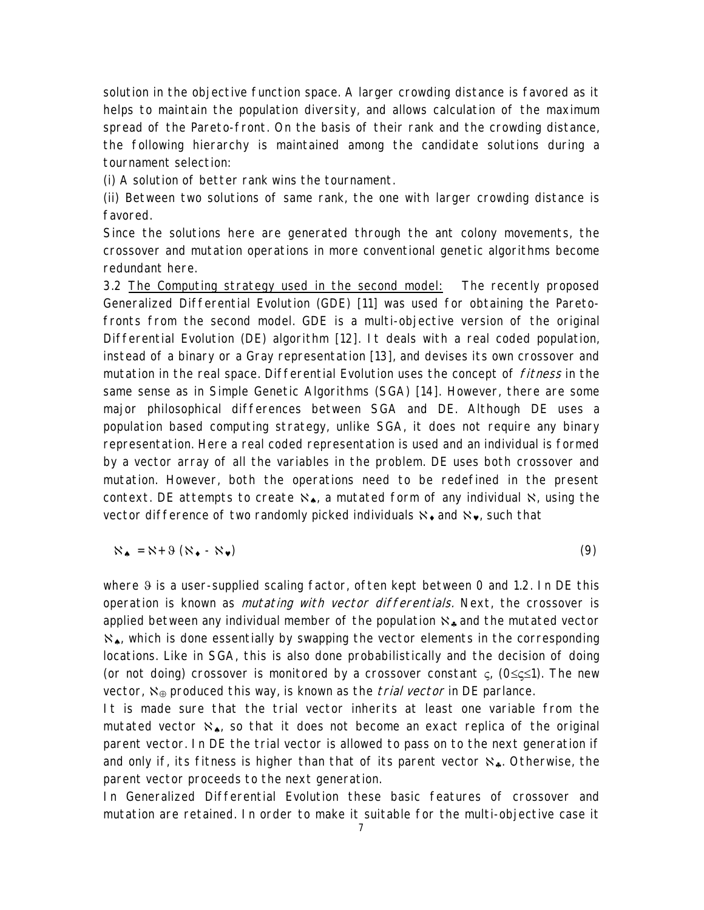solution in the objective function space. A larger crowding distance is favored as it helps to maintain the population diversity, and allows calculation of the maximum spread of the Pareto-front. On the basis of their rank and the crowding distance, the following hierarchy is maintained among the candidate solutions during a tournament selection:

(i) A solution of better rank wins the tournament.

(ii) Between two solutions of same rank, the one with larger crowding distance is favored.

Since the solutions here are generated through the ant colony movements, the crossover and mutation operations in more conventional genetic algorithms become redundant here.

3.2 The Computing strategy used in the second model: The recently proposed Generalized Differential Evolution (GDE) [11] was used for obtaining the Paretofronts from the second model. GDE is a multi-objective version of the original Differential Evolution (DE) algorithm [12]. It deals with a real coded population, instead of a binary or a Gray representation [13], and devises its own crossover and mutation in the real space. Differential Evolution uses the concept of *fitness* in the same sense as in Simple Genetic Algorithms (SGA) [14]. However, there are some major philosophical differences between SGA and DE. Although DE uses a population based computing strategy, unlike SGA, it does not require any binary representation. Here a real coded representation is used and an individual is formed by a vector array of all the variables in the problem. DE uses both crossover and mutation. However, both the operations need to be redefined in the present context. DE attempts to create  $\aleph_{\clubsuit}$ , a mutated form of any individual  $\aleph$ , using the vector difference of two randomly picked individuals  $\aleph_{\bullet}$  and  $\aleph_{\bullet}$ , such that

$$
\aleph_{\bullet} = \aleph + \vartheta \left( \aleph_{\bullet} - \aleph_{\bullet} \right) \tag{9}
$$

where  $9$  is a user-supplied scaling factor, often kept between 0 and 1.2. In DE this operation is known as *mutating with vector differentials*. Next, the crossover is applied between any individual member of the population  $\aleph_{\bullet}$  and the mutated vector ℵ♠, which is done essentially by swapping the vector elements in the corresponding locations. Like in SGA, this is also done probabilistically and the decision of doing (or not doing) crossover is monitored by a crossover constant ς, (0≤ς≤1). The new vector,  $\aleph_{\oplus}$  produced this way, is known as the *trial vector* in DE parlance.

It is made sure that the trial vector inherits at least one variable from the mutated vector  $\aleph_{\spadesuit}$ , so that it does not become an exact replica of the original parent vector. In DE the trial vector is allowed to pass on to the next generation if and only if, its fitness is higher than that of its parent vector  $\aleph_{\bullet}$ . Otherwise, the parent vector proceeds to the next generation.

In Generalized Differential Evolution these basic features of crossover and mutation are retained. In order to make it suitable for the multi-objective case it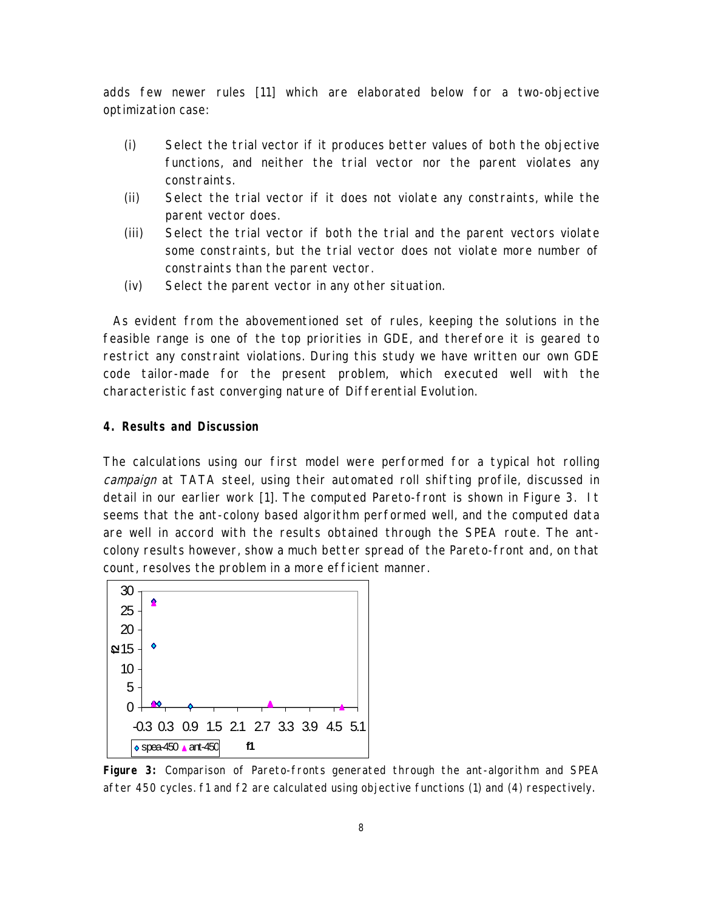adds few newer rules [11] which are elaborated below for a two-objective optimization case:

- (i) Select the trial vector if it produces better values of both the objective functions, and neither the trial vector nor the parent violates any constraints.
- (ii) Select the trial vector if it does not violate any constraints, while the parent vector does.
- (iii) Select the trial vector if both the trial and the parent vectors violate some constraints, but the trial vector does not violate more number of constraints than the parent vector.
- (iv) Select the parent vector in any other situation.

As evident from the abovementioned set of rules, keeping the solutions in the feasible range is one of the top priorities in GDE, and therefore it is geared to restrict any constraint violations. During this study we have written our own GDE code tailor-made for the present problem, which executed well with the characteristic fast converging nature of Differential Evolution.

#### **4. Results and Discussion**

The calculations using our first model were performed for a typical hot rolling campaign at TATA steel, using their automated roll shifting profile, discussed in detail in our earlier work [1]. The computed Pareto-front is shown in Figure 3. It seems that the ant-colony based algorithm performed well, and the computed data are well in accord with the results obtained through the SPEA route. The antcolony results however, show a much better spread of the Pareto-front and, on that count, resolves the problem in a more efficient manner.



**Figure 3:** Comparison of Pareto-fronts generated through the ant-algorithm and SPEA after 450 cycles. f1 and f2 are calculated using objective functions (1) and (4) respectively.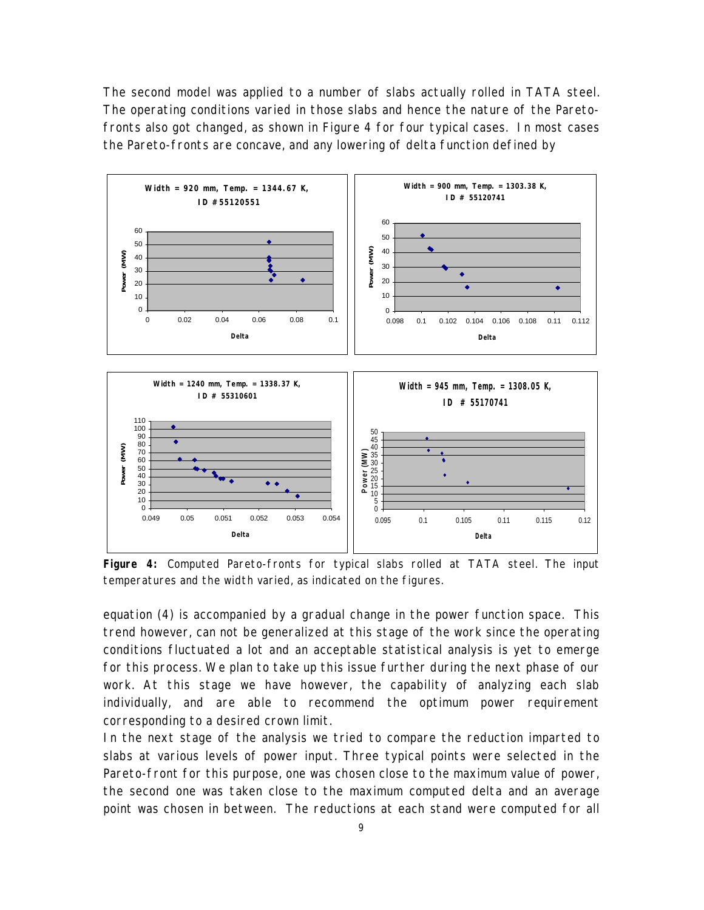The second model was applied to a number of slabs actually rolled in TATA steel. The operating conditions varied in those slabs and hence the nature of the Paretofronts also got changed, as shown in Figure 4 for four typical cases. In most cases the Pareto-fronts are concave, and any lowering of delta function defined by



**Figure 4:** Computed Pareto-fronts for typical slabs rolled at TATA steel. The input temperatures and the width varied, as indicated on the figures.

equation (4) is accompanied by a gradual change in the power function space. This trend however, can not be generalized at this stage of the work since the operating conditions fluctuated a lot and an acceptable statistical analysis is yet to emerge for this process. We plan to take up this issue further during the next phase of our work. At this stage we have however, the capability of analyzing each slab individually, and are able to recommend the optimum power requirement corresponding to a desired crown limit.

In the next stage of the analysis we tried to compare the reduction imparted to slabs at various levels of power input. Three typical points were selected in the Pareto-front for this purpose, one was chosen close to the maximum value of power, the second one was taken close to the maximum computed delta and an average point was chosen in between. The reductions at each stand were computed for all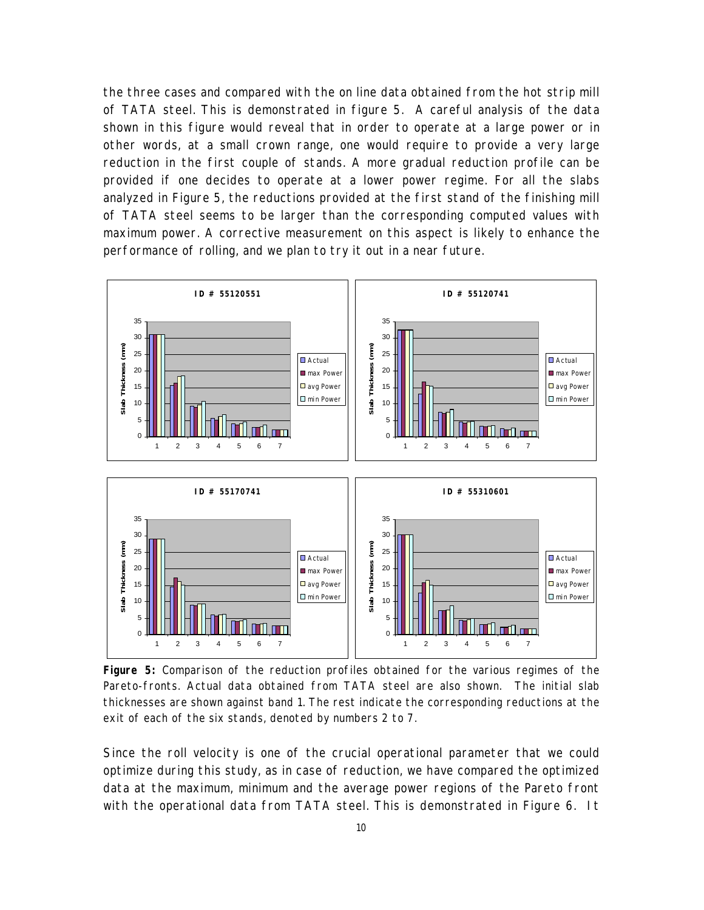the three cases and compared with the on line data obtained from the hot strip mill of TATA steel. This is demonstrated in figure 5. A careful analysis of the data shown in this figure would reveal that in order to operate at a large power or in other words, at a small crown range, one would require to provide a very large reduction in the first couple of stands. A more gradual reduction profile can be provided if one decides to operate at a lower power regime. For all the slabs analyzed in Figure 5, the reductions provided at the first stand of the finishing mill of TATA steel seems to be larger than the corresponding computed values with maximum power. A corrective measurement on this aspect is likely to enhance the performance of rolling, and we plan to try it out in a near future.



**Figure 5:** Comparison of the reduction profiles obtained for the various regimes of the Pareto-fronts. Actual data obtained from TATA steel are also shown. The initial slab thicknesses are shown against band 1. The rest indicate the corresponding reductions at the exit of each of the six stands, denoted by numbers 2 to 7.

Since the roll velocity is one of the crucial operational parameter that we could optimize during this study, as in case of reduction, we have compared the optimized data at the maximum, minimum and the average power regions of the Pareto front with the operational data from TATA steel. This is demonstrated in Figure 6. It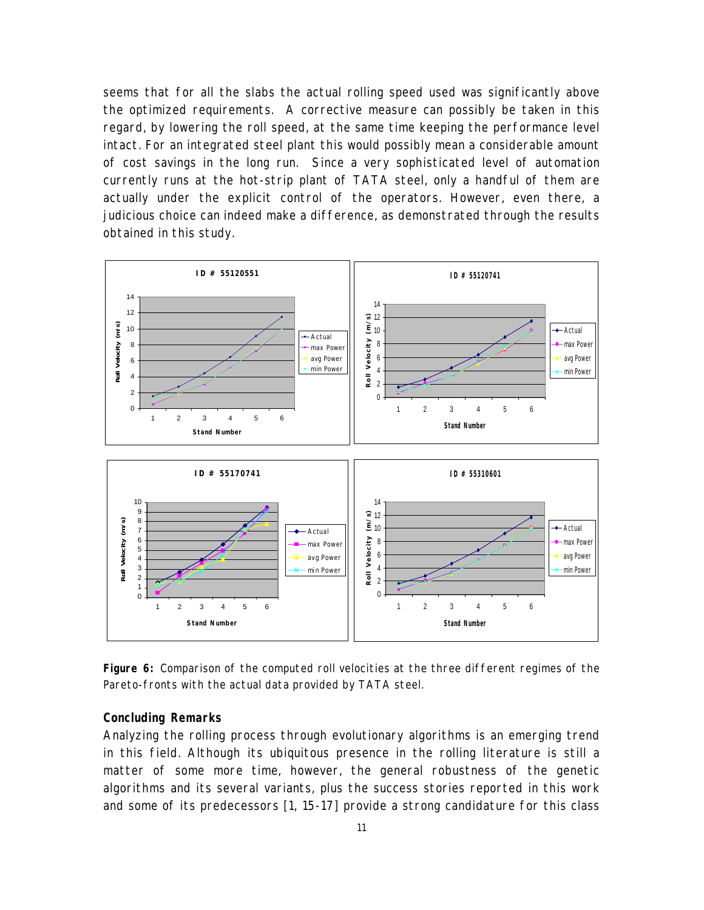seems that for all the slabs the actual rolling speed used was significantly above the optimized requirements. A corrective measure can possibly be taken in this regard, by lowering the roll speed, at the same time keeping the performance level intact. For an integrated steel plant this would possibly mean a considerable amount of cost savings in the long run. Since a very sophisticated level of automation currently runs at the hot-strip plant of TATA steel, only a handful of them are actually under the explicit control of the operators. However, even there, a judicious choice can indeed make a difference, as demonstrated through the results obtained in this study.



**Figure 6:** Comparison of the computed roll velocities at the three different regimes of the Pareto-fronts with the actual data provided by TATA steel.

#### **Concluding Remarks**

Analyzing the rolling process through evolutionary algorithms is an emerging trend in this field. Although its ubiquitous presence in the rolling literature is still a matter of some more time, however, the general robustness of the genetic algorithms and its several variants, plus the success stories reported in this work and some of its predecessors [1, 15-17] provide a strong candidature for this class